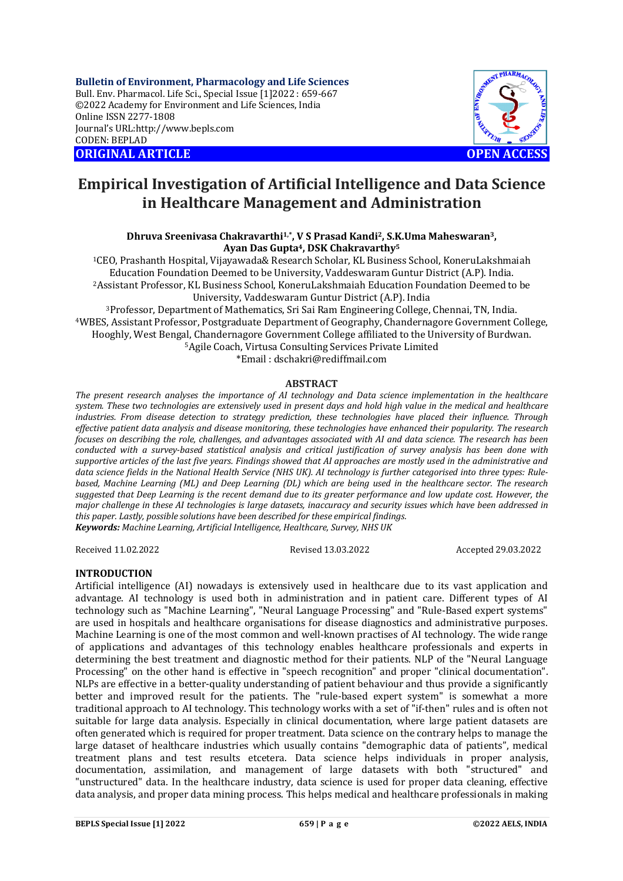**Bulletin of Environment, Pharmacology and Life Sciences** Bull. Env. Pharmacol. Life Sci., Special Issue [1]2022 : 659-667 ©2022 Academy for Environment and Life Sciences, India Online ISSN 2277-1808 Journal's URL:<http://www.bepls.com> CODEN: BEPLAD **ORIGINAL ARTICLE OPEN ACCESS** 



# **Empirical Investigation of Artificial Intelligence and Data Science in Healthcare Management and Administration**

**Dhruva Sreenivasa Chakravarthi1,\* , V S Prasad Kandi2, S.K.Uma Maheswaran3, Ayan Das Gupta4, DSK Chakravarthy<sup>5</sup>**

<sup>1</sup>CEO, Prashanth Hospital, Vijayawada& Research Scholar, KL Business School, KoneruLakshmaiah Education Foundation Deemed to be University, Vaddeswaram Guntur District (A.P). India. <sup>2</sup>Assistant Professor, KL Business School, KoneruLakshmaiah Education Foundation Deemed to be University, Vaddeswaram Guntur District (A.P). India

<sup>3</sup>Professor, Department of Mathematics, Sri Sai Ram Engineering College, Chennai, TN, India. <sup>4</sup>WBES, Assistant Professor, Postgraduate Department of Geography, Chandernagore Government College, Hooghly, West Bengal, Chandernagore Government College affiliated to the University of Burdwan. <sup>5</sup>Agile Coach, Virtusa Consulting Services Private Limited \*Email : [dschakri@rediffmail.com](mailto:dschakri@rediffmail.com)

# **ABSTRACT**

#### *The present research analyses the importance of AI technology and Data science implementation in the healthcare system. These two technologies are extensively used in present days and hold high value in the medical and healthcare industries. From disease detection to strategy prediction, these technologies have placed their influence. Through effective patient data analysis and disease monitoring, these technologies have enhanced their popularity. The research focuses on describing the role, challenges, and advantages associated with AI and data science. The research has been conducted with a survey-based statistical analysis and critical justification of survey analysis has been done with supportive articles of the last five years. Findings showed that AI approaches are mostly used in the administrative and data science fields in the National Health Service (NHS UK). AI technology is further categorised into three types: Rulebased, Machine Learning (ML) and Deep Learning (DL) which are being used in the healthcare sector. The research suggested that Deep Learning is the recent demand due to its greater performance and low update cost. However, the major challenge in these AI technologies is large datasets, inaccuracy and security issues which have been addressed in this paper. Lastly, possible solutions have been described for these empirical findings.*

*Keywords: Machine Learning, Artificial Intelligence, Healthcare, Survey, NHS UK* 

Received 11.02.2022 Revised 13.03.2022 Accepted 29.03.2022

#### **INTRODUCTION**

Artificial intelligence (AI) nowadays is extensively used in healthcare due to its vast application and advantage. AI technology is used both in administration and in patient care. Different types of AI technology such as "Machine Learning", "Neural Language Processing" and "Rule-Based expert systems" are used in hospitals and healthcare organisations for disease diagnostics and administrative purposes. Machine Learning is one of the most common and well-known practises of AI technology. The wide range of applications and advantages of this technology enables healthcare professionals and experts in determining the best treatment and diagnostic method for their patients. NLP of the "Neural Language Processing" on the other hand is effective in "speech recognition" and proper "clinical documentation". NLPs are effective in a better-quality understanding of patient behaviour and thus provide a significantly better and improved result for the patients. The "rule-based expert system" is somewhat a more traditional approach to AI technology. This technology works with a set of "if-then" rules and is often not suitable for large data analysis. Especially in clinical documentation, where large patient datasets are often generated which is required for proper treatment. Data science on the contrary helps to manage the large dataset of healthcare industries which usually contains "demographic data of patients", medical treatment plans and test results etcetera. Data science helps individuals in proper analysis, documentation, assimilation, and management of large datasets with both "structured" and "unstructured" data. In the healthcare industry, data science is used for proper data cleaning, effective data analysis, and proper data mining process. This helps medical and healthcare professionals in making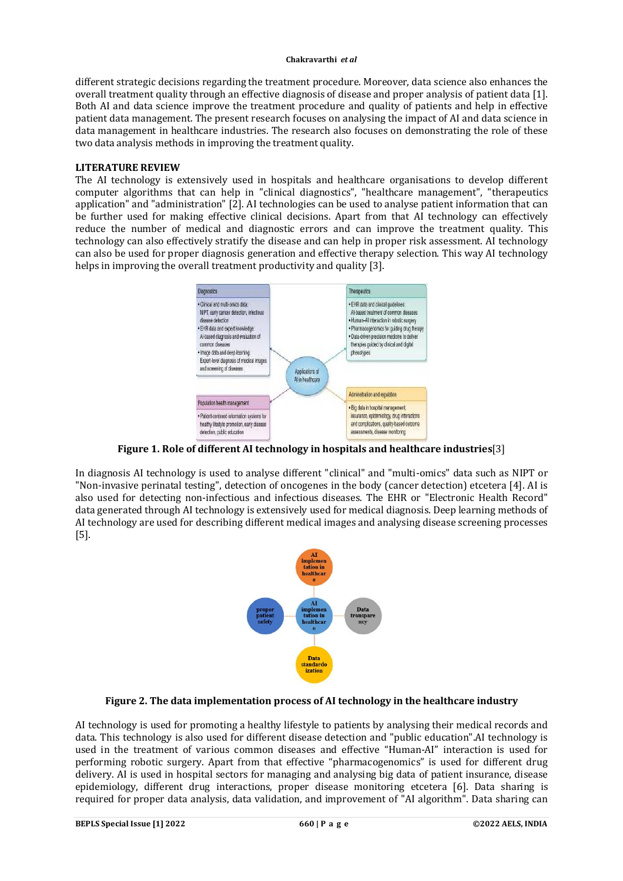different strategic decisions regarding the treatment procedure. Moreover, data science also enhances the overall treatment quality through an effective diagnosis of disease and proper analysis of patient data [1]. Both AI and data science improve the treatment procedure and quality of patients and help in effective patient data management. The present research focuses on analysing the impact of AI and data science in data management in healthcare industries. The research also focuses on demonstrating the role of these two data analysis methods in improving the treatment quality.

#### **LITERATURE REVIEW**

The AI technology is extensively used in hospitals and healthcare organisations to develop different computer algorithms that can help in "clinical diagnostics", "healthcare management", "therapeutics application" and "administration" [2]. AI technologies can be used to analyse patient information that can be further used for making effective clinical decisions. Apart from that AI technology can effectively reduce the number of medical and diagnostic errors and can improve the treatment quality. This technology can also effectively stratify the disease and can help in proper risk assessment. AI technology can also be used for proper diagnosis generation and effective therapy selection. This way AI technology helps in improving the overall treatment productivity and quality [3].



**Figure 1. Role of different AI technology in hospitals and healthcare industries**[3]

In diagnosis AI technology is used to analyse different "clinical" and "multi-omics" data such as NIPT or "Non-invasive perinatal testing", detection of oncogenes in the body (cancer detection) etcetera [4]. AI is also used for detecting non-infectious and infectious diseases. The EHR or "Electronic Health Record" data generated through AI technology is extensively used for medical diagnosis. Deep learning methods of AI technology are used for describing different medical images and analysing disease screening processes [5].



### **Figure 2. The data implementation process of AI technology in the healthcare industry**

AI technology is used for promoting a healthy lifestyle to patients by analysing their medical records and data. This technology is also used for different disease detection and "public education".AI technology is used in the treatment of various common diseases and effective "Human-AI" interaction is used for performing robotic surgery. Apart from that effective "pharmacogenomics" is used for different drug delivery. AI is used in hospital sectors for managing and analysing big data of patient insurance, disease epidemiology, different drug interactions, proper disease monitoring etcetera [6]. Data sharing is required for proper data analysis, data validation, and improvement of "AI algorithm". Data sharing can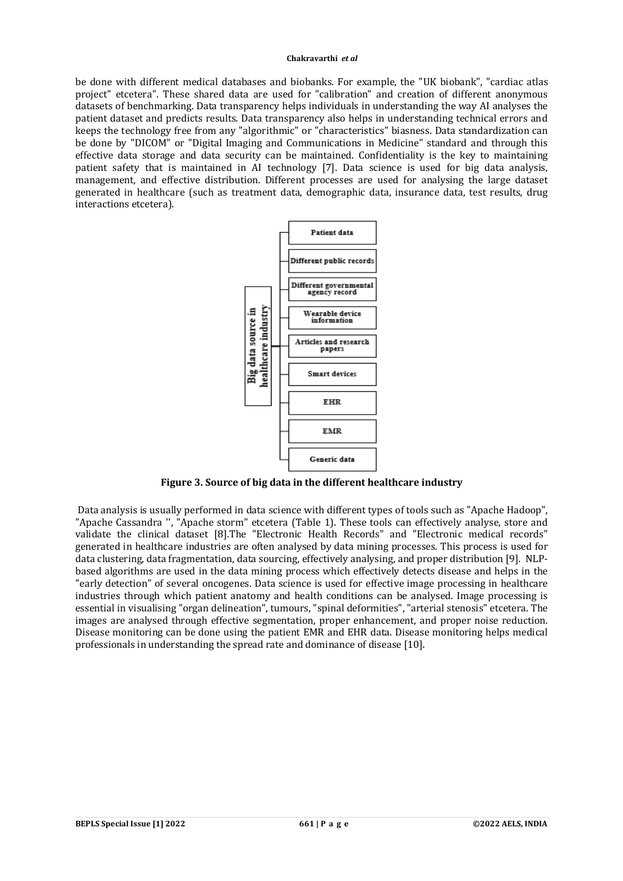be done with different medical databases and biobanks. For example, the "UK biobank", "cardiac atlas project" etcetera". These shared data are used for "calibration" and creation of different anonymous datasets of benchmarking. Data transparency helps individuals in understanding the way AI analyses the patient dataset and predicts results. Data transparency also helps in understanding technical errors and keeps the technology free from any "algorithmic" or "characteristics" biasness. Data standardization can be done by "DICOM" or "Digital Imaging and Communications in Medicine" standard and through this effective data storage and data security can be maintained. Confidentiality is the key to maintaining patient safety that is maintained in AI technology [7]. Data science is used for big data analysis, management, and effective distribution. Different processes are used for analysing the large dataset generated in healthcare (such as treatment data, demographic data, insurance data, test results, drug interactions etcetera).



**Figure 3. Source of big data in the different healthcare industry**

Data analysis is usually performed in data science with different types of tools such as "Apache Hadoop", "Apache Cassandra '', "Apache storm" etcetera (Table 1). These tools can effectively analyse, store and validate the clinical dataset [8].The "Electronic Health Records" and "Electronic medical records" generated in healthcare industries are often analysed by data mining processes. This process is used for data clustering, data fragmentation, data sourcing, effectively analysing, and proper distribution [9]. NLPbased algorithms are used in the data mining process which effectively detects disease and helps in the "early detection" of several oncogenes. Data science is used for effective image processing in healthcare industries through which patient anatomy and health conditions can be analysed. Image processing is essential in visualising "organ delineation", tumours, "spinal deformities", "arterial stenosis" etcetera. The images are analysed through effective segmentation, proper enhancement, and proper noise reduction. Disease monitoring can be done using the patient EMR and EHR data. Disease monitoring helps medical professionals in understanding the spread rate and dominance of disease [10].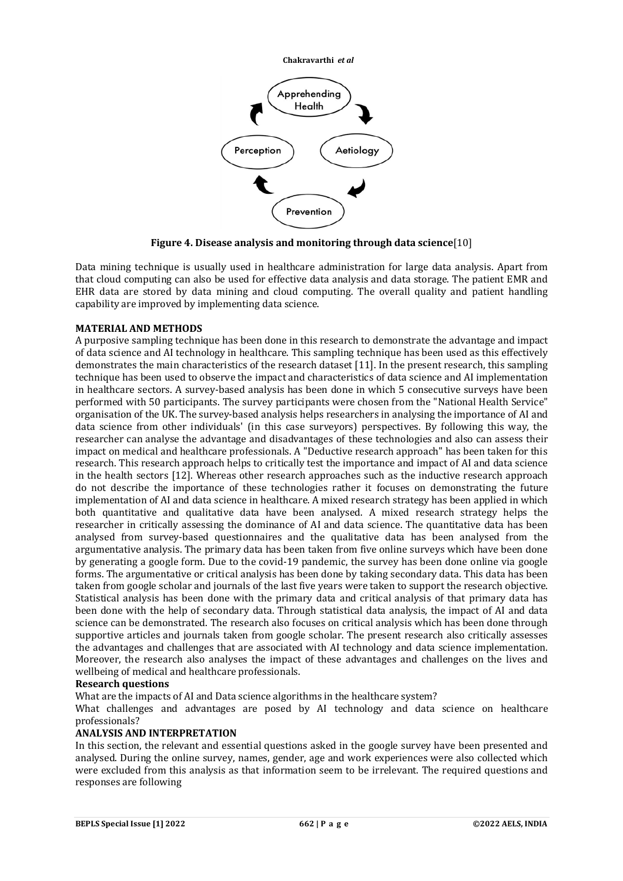

**Figure 4. Disease analysis and monitoring through data science**[10]

Data mining technique is usually used in healthcare administration for large data analysis. Apart from that cloud computing can also be used for effective data analysis and data storage. The patient EMR and EHR data are stored by data mining and cloud computing. The overall quality and patient handling capability are improved by implementing data science.

#### **MATERIAL AND METHODS**

A purposive sampling technique has been done in this research to demonstrate the advantage and impact of data science and AI technology in healthcare. This sampling technique has been used as this effectively demonstrates the main characteristics of the research dataset [11]. In the present research, this sampling technique has been used to observe the impact and characteristics of data science and AI implementation in healthcare sectors. A survey-based analysis has been done in which 5 consecutive surveys have been performed with 50 participants. The survey participants were chosen from the "National Health Service" organisation of the UK. The survey-based analysis helps researchers in analysing the importance of AI and data science from other individuals' (in this case surveyors) perspectives. By following this way, the researcher can analyse the advantage and disadvantages of these technologies and also can assess their impact on medical and healthcare professionals. A "Deductive research approach" has been taken for this research. This research approach helps to critically test the importance and impact of AI and data science in the health sectors [12]. Whereas other research approaches such as the inductive research approach do not describe the importance of these technologies rather it focuses on demonstrating the future implementation of AI and data science in healthcare. A mixed research strategy has been applied in which both quantitative and qualitative data have been analysed. A mixed research strategy helps the researcher in critically assessing the dominance of AI and data science. The quantitative data has been analysed from survey-based questionnaires and the qualitative data has been analysed from the argumentative analysis. The primary data has been taken from five online surveys which have been done by generating a google form. Due to the covid-19 pandemic, the survey has been done online via google forms. The argumentative or critical analysis has been done by taking secondary data. This data has been taken from google scholar and journals of the last five years were taken to support the research objective. Statistical analysis has been done with the primary data and critical analysis of that primary data has been done with the help of secondary data. Through statistical data analysis, the impact of AI and data science can be demonstrated. The research also focuses on critical analysis which has been done through supportive articles and journals taken from google scholar. The present research also critically assesses the advantages and challenges that are associated with AI technology and data science implementation. Moreover, the research also analyses the impact of these advantages and challenges on the lives and wellbeing of medical and healthcare professionals.

#### **Research questions**

What are the impacts of AI and Data science algorithms in the healthcare system?

What challenges and advantages are posed by AI technology and data science on healthcare professionals?

### **ANALYSIS AND INTERPRETATION**

In this section, the relevant and essential questions asked in the google survey have been presented and analysed. During the online survey, names, gender, age and work experiences were also collected which were excluded from this analysis as that information seem to be irrelevant. The required questions and responses are following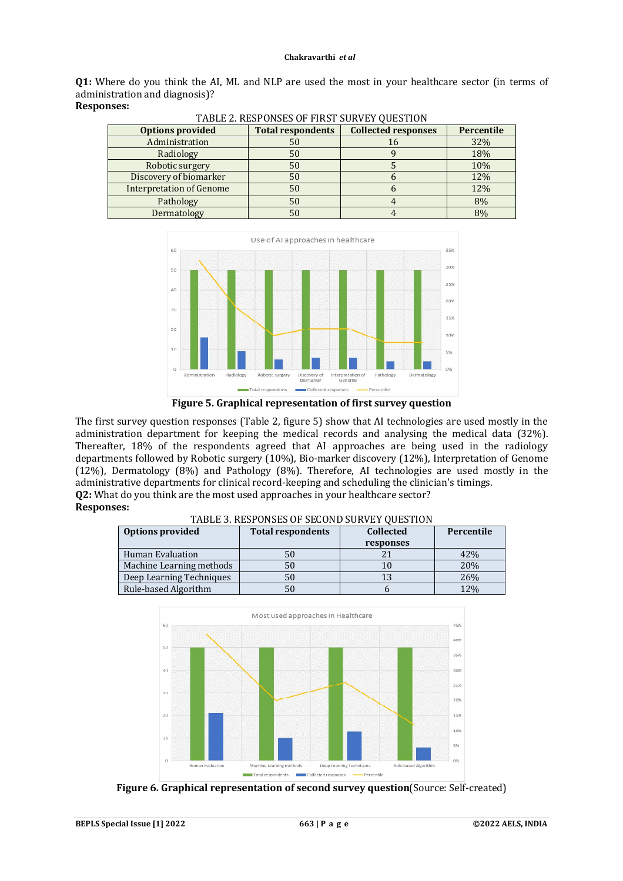**Q1:** Where do you think the AI, ML and NLP are used the most in your healthcare sector (in terms of administration and diagnosis)? **Responses:**

| <b>Collected responses</b><br><b>Total respondents</b><br><b>Options provided</b> |    | Percentile |     |
|-----------------------------------------------------------------------------------|----|------------|-----|
| Administration                                                                    | 50 | 16         | 32% |
| Radiology                                                                         | 50 |            |     |
| Robotic surgery                                                                   | 50 |            | 10% |
| Discovery of biomarker                                                            | 50 |            | 12% |
| <b>Interpretation of Genome</b>                                                   | 50 |            | 12% |
| Pathology                                                                         | 50 |            | 8%  |
| Dermatology                                                                       | 50 |            | 8%  |





**Figure 5. Graphical representation of first survey question**

The first survey question responses (Table 2, figure 5) show that AI technologies are used mostly in the administration department for keeping the medical records and analysing the medical data (32%). Thereafter, 18% of the respondents agreed that AI approaches are being used in the radiology departments followed by Robotic surgery (10%), Bio-marker discovery (12%), Interpretation of Genome (12%), Dermatology (8%) and Pathology (8%). Therefore, AI technologies are used mostly in the administrative departments for clinical record-keeping and scheduling the clinician's timings. **Q2:** What do you think are the most used approaches in your healthcare sector? **Responses:**

#### TABLE 3. RESPONSES OF SECOND SURVEY QUESTION

| <b>Options provided</b>  | <b>Total respondents</b> | <b>Collected</b> | Percentile |
|--------------------------|--------------------------|------------------|------------|
|                          |                          | responses        |            |
| Human Evaluation         |                          |                  | 42%        |
| Machine Learning methods | 50                       |                  | 20%        |
| Deep Learning Techniques |                          | 13               | 26%        |
| Rule-based Algorithm     |                          |                  | 12%        |



**Figure 6. Graphical representation of second survey question**(Source: Self-created)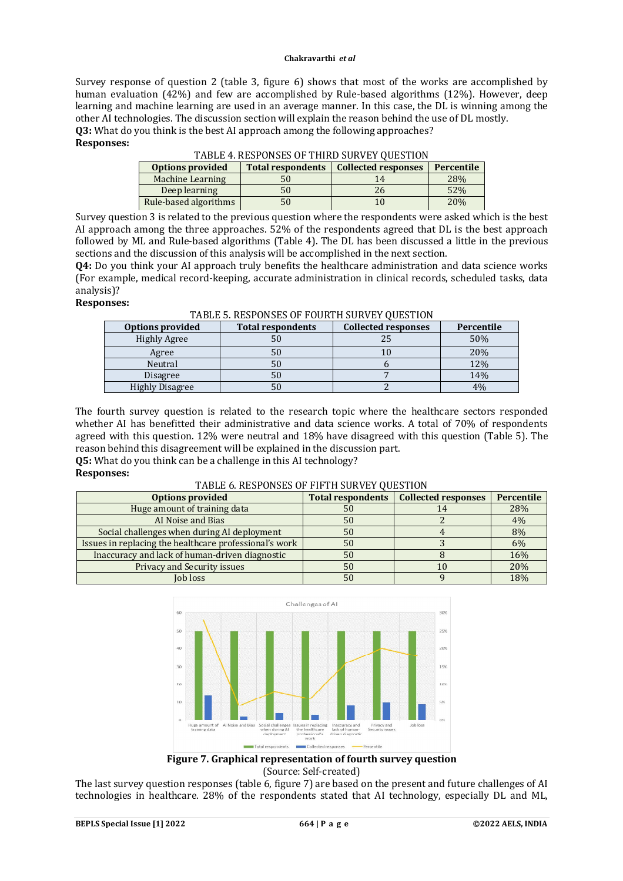Survey response of question 2 (table 3, figure 6) shows that most of the works are accomplished by human evaluation (42%) and few are accomplished by Rule-based algorithms (12%). However, deep learning and machine learning are used in an average manner. In this case, the DL is winning among the other AI technologies. The discussion section will explain the reason behind the use of DL mostly. **Q3:** What do you think is the best AI approach among the following approaches?

#### **Responses:**

TABLE 4. RESPONSES OF THIRD SURVEY QUESTION

| <b>Total respondents</b><br><b>Options provided</b> |    | <b>Collected responses</b> | Percentile |
|-----------------------------------------------------|----|----------------------------|------------|
| Machine Learning                                    | 50 |                            | 28%        |
| Deep learning                                       | 50 | 26                         | 52%        |
| Rule-based algorithms                               | 50 | 10                         | 20%        |

Survey question 3 is related to the previous question where the respondents were asked which is the best AI approach among the three approaches. 52% of the respondents agreed that DL is the best approach followed by ML and Rule-based algorithms (Table 4). The DL has been discussed a little in the previous sections and the discussion of this analysis will be accomplished in the next section.

**Q4:** Do you think your AI approach truly benefits the healthcare administration and data science works (For example, medical record-keeping, accurate administration in clinical records, scheduled tasks, data analysis)?

#### **Responses:**

| <b>Options provided</b> | <b>Total respondents</b> | <b>Collected responses</b> |     |
|-------------------------|--------------------------|----------------------------|-----|
| <b>Highly Agree</b>     | 50                       | 25                         | 50% |
| Agree                   | 50                       |                            | 20% |
| Neutral                 | 50                       |                            | 12% |
| <b>Disagree</b>         | 50                       |                            | 14% |
| <b>Highly Disagree</b>  | 50                       |                            | 4%  |

TABLE 5. RESPONSES OF FOURTH SURVEY QUESTION

The fourth survey question is related to the research topic where the healthcare sectors responded whether AI has benefitted their administrative and data science works. A total of 70% of respondents agreed with this question. 12% were neutral and 18% have disagreed with this question (Table 5). The reason behind this disagreement will be explained in the discussion part.

**Q5:** What do you think can be a challenge in this AI technology?

### **Responses:**

#### TABLE 6. RESPONSES OF FIFTH SURVEY QUESTION

| <b>Options provided</b>                                | <b>Total respondents</b> | <b>Collected responses</b> | Percentile |
|--------------------------------------------------------|--------------------------|----------------------------|------------|
| Huge amount of training data                           | 50                       | 14                         | 28%        |
| AI Noise and Bias                                      | 50                       |                            | 4%         |
| Social challenges when during AI deployment            | 50                       |                            | 8%         |
| Issues in replacing the healthcare professional's work | 50                       |                            | 6%         |
| Inaccuracy and lack of human-driven diagnostic         | 50                       |                            | 16%        |
| Privacy and Security issues                            | 50                       | 10                         | 20%        |
| Job loss                                               | 50                       |                            | 18%        |



**Figure 7. Graphical representation of fourth survey question** (Source: Self-created)

The last survey question responses (table 6, figure 7) are based on the present and future challenges of AI technologies in healthcare. 28% of the respondents stated that AI technology, especially DL and ML,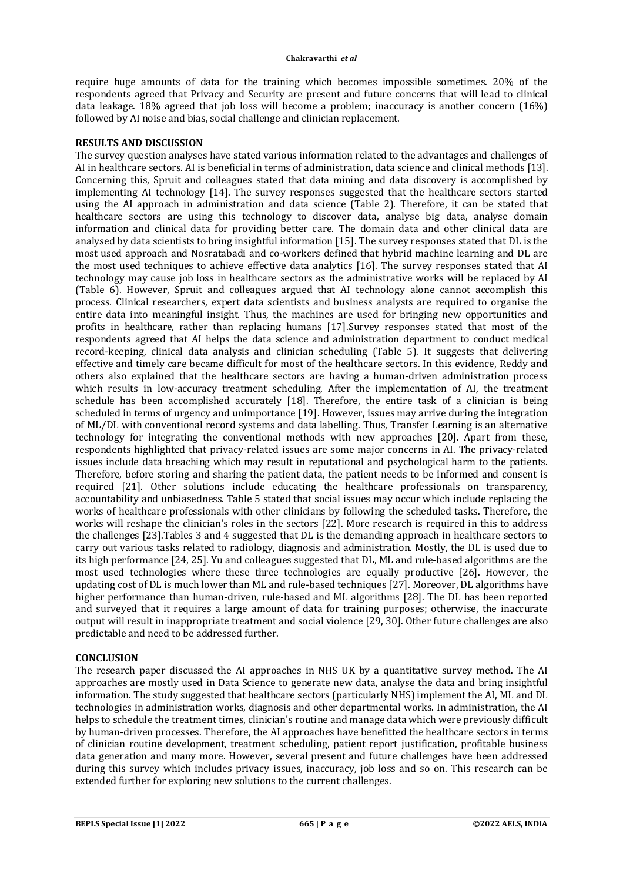require huge amounts of data for the training which becomes impossible sometimes. 20% of the respondents agreed that Privacy and Security are present and future concerns that will lead to clinical data leakage. 18% agreed that job loss will become a problem; inaccuracy is another concern (16%) followed by AI noise and bias, social challenge and clinician replacement.

#### **RESULTS AND DISCUSSION**

The survey question analyses have stated various information related to the advantages and challenges of AI in healthcare sectors. AI is beneficial in terms of administration, data science and clinical methods [13]. Concerning this, Spruit and colleagues stated that data mining and data discovery is accomplished by implementing AI technology [14]. The survey responses suggested that the healthcare sectors started using the AI approach in administration and data science (Table 2). Therefore, it can be stated that healthcare sectors are using this technology to discover data, analyse big data, analyse domain information and clinical data for providing better care. The domain data and other clinical data are analysed by data scientists to bring insightful information [15]. The survey responses stated that DL is the most used approach and Nosratabadi and co-workers defined that hybrid machine learning and DL are the most used techniques to achieve effective data analytics [16]. The survey responses stated that AI technology may cause job loss in healthcare sectors as the administrative works will be replaced by AI (Table 6). However, Spruit and colleagues argued that AI technology alone cannot accomplish this process. Clinical researchers, expert data scientists and business analysts are required to organise the entire data into meaningful insight. Thus, the machines are used for bringing new opportunities and profits in healthcare, rather than replacing humans [17].Survey responses stated that most of the respondents agreed that AI helps the data science and administration department to conduct medical record-keeping, clinical data analysis and clinician scheduling (Table 5). It suggests that delivering effective and timely care became difficult for most of the healthcare sectors. In this evidence, Reddy and others also explained that the healthcare sectors are having a human-driven administration process which results in low-accuracy treatment scheduling. After the implementation of AI, the treatment schedule has been accomplished accurately [18]. Therefore, the entire task of a clinician is being scheduled in terms of urgency and unimportance [19]. However, issues may arrive during the integration of ML/DL with conventional record systems and data labelling. Thus, Transfer Learning is an alternative technology for integrating the conventional methods with new approaches [20]. Apart from these, respondents highlighted that privacy-related issues are some major concerns in AI. The privacy-related issues include data breaching which may result in reputational and psychological harm to the patients. Therefore, before storing and sharing the patient data, the patient needs to be informed and consent is required [21]. Other solutions include educating the healthcare professionals on transparency, accountability and unbiasedness. Table 5 stated that social issues may occur which include replacing the works of healthcare professionals with other clinicians by following the scheduled tasks. Therefore, the works will reshape the clinician's roles in the sectors [22]. More research is required in this to address the challenges [23].Tables 3 and 4 suggested that DL is the demanding approach in healthcare sectors to carry out various tasks related to radiology, diagnosis and administration. Mostly, the DL is used due to its high performance [24, 25]. Yu and colleagues suggested that DL, ML and rule-based algorithms are the most used technologies where these three technologies are equally productive [26]. However, the updating cost of DL is much lower than ML and rule-based techniques [27]. Moreover, DL algorithms have higher performance than human-driven, rule-based and ML algorithms [28]. The DL has been reported and surveyed that it requires a large amount of data for training purposes; otherwise, the inaccurate output will result in inappropriate treatment and social violence [29, 30]. Other future challenges are also predictable and need to be addressed further.

#### **CONCLUSION**

The research paper discussed the AI approaches in NHS UK by a quantitative survey method. The AI approaches are mostly used in Data Science to generate new data, analyse the data and bring insightful information. The study suggested that healthcare sectors (particularly NHS) implement the AI, ML and DL technologies in administration works, diagnosis and other departmental works. In administration, the AI helps to schedule the treatment times, clinician's routine and manage data which were previously difficult by human-driven processes. Therefore, the AI approaches have benefitted the healthcare sectors in terms of clinician routine development, treatment scheduling, patient report justification, profitable business data generation and many more. However, several present and future challenges have been addressed during this survey which includes privacy issues, inaccuracy, job loss and so on. This research can be extended further for exploring new solutions to the current challenges.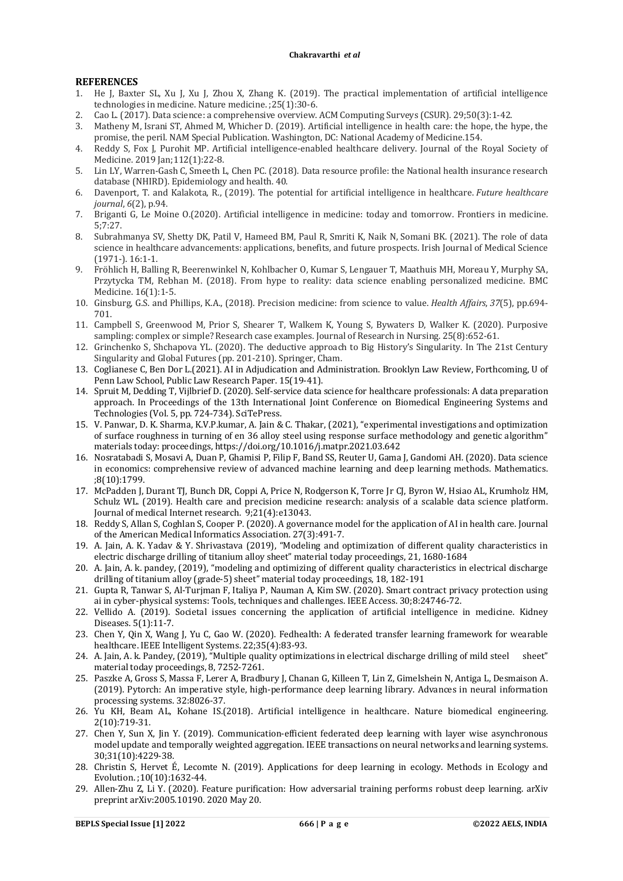#### **REFERENCES**

- 1. He J, Baxter SL, Xu J, Xu J, Zhou X, Zhang K. (2019). The practical implementation of artificial intelligence technologies in medicine. Nature medicine. ;25(1):30-6.
- 2. Cao L. (2017). Data science: a comprehensive overview. ACM Computing Surveys (CSUR). 29;50(3):1-42.
- 3. Matheny M, Israni ST, Ahmed M, Whicher D. (2019). Artificial intelligence in health care: the hope, the hype, the promise, the peril. NAM Special Publication. Washington, DC: National Academy of Medicine.154.
- 4. Reddy S, Fox J, Purohit MP. Artificial intelligence-enabled healthcare delivery. Journal of the Royal Society of Medicine. 2019 Jan;112(1):22-8.
- 5. Lin LY, Warren-Gash C, Smeeth L, Chen PC. (2018). Data resource profile: the National health insurance research database (NHIRD). Epidemiology and health. 40.
- 6. Davenport, T. and Kalakota, R., (2019). The potential for artificial intelligence in healthcare. *Future healthcare journal*, *6*(2), p.94.
- 7. Briganti G, Le Moine O.(2020). Artificial intelligence in medicine: today and tomorrow. Frontiers in medicine. 5;7:27.
- 8. Subrahmanya SV, Shetty DK, Patil V, Hameed BM, Paul R, Smriti K, Naik N, Somani BK. (2021). The role of data science in healthcare advancements: applications, benefits, and future prospects. Irish Journal of Medical Science (1971-). 16:1-1.
- 9. Fröhlich H, Balling R, Beerenwinkel N, Kohlbacher O, Kumar S, Lengauer T, Maathuis MH, Moreau Y, Murphy SA, Przytycka TM, Rebhan M. (2018). From hype to reality: data science enabling personalized medicine. BMC Medicine. 16(1):1-5.
- 10. Ginsburg, G.S. and Phillips, K.A., (2018). Precision medicine: from science to value. *Health Affairs*, *37*(5), pp.694- 701.
- 11. Campbell S, Greenwood M, Prior S, Shearer T, Walkem K, Young S, Bywaters D, Walker K. (2020). Purposive sampling: complex or simple? Research case examples. Journal of Research in Nursing. 25(8):652-61.
- 12. Grinchenko S, Shchapova YL. (2020). The deductive approach to Big History's Singularity. In The 21st Century Singularity and Global Futures (pp. 201-210). Springer, Cham.
- 13. Coglianese C, Ben Dor L.(2021). AI in Adjudication and Administration. Brooklyn Law Review, Forthcoming, U of Penn Law School, Public Law Research Paper. 15(19-41).
- 14. Spruit M, Dedding T, Vijlbrief D. (2020). Self-service data science for healthcare professionals: A data preparation approach. In Proceedings of the 13th International Joint Conference on Biomedical Engineering Systems and Technologies (Vol. 5, pp. 724-734). SciTePress.
- 15. V. Panwar, D. K. Sharma, K.V.P.kumar, A. Jain & C. Thakar, (2021), "experimental investigations and optimization of surface roughness in turning of en 36 alloy steel using response surface methodology and genetic algorithm" materials today: proceedings,<https://doi.org/10.1016/j.matpr.2021.03.642>
- 16. Nosratabadi S, Mosavi A, Duan P, Ghamisi P, Filip F, Band SS, Reuter U, Gama J, Gandomi AH. (2020). Data science in economics: comprehensive review of advanced machine learning and deep learning methods. Mathematics. ;8(10):1799.
- 17. McPadden J, Durant TJ, Bunch DR, Coppi A, Price N, Rodgerson K, Torre Jr CJ, Byron W, Hsiao AL, Krumholz HM, Schulz WL. (2019). Health care and precision medicine research: analysis of a scalable data science platform. Journal of medical Internet research. 9;21(4):e13043.
- 18. Reddy S, Allan S, Coghlan S, Cooper P. (2020). A governance model for the application of AI in health care. Journal of the American Medical Informatics Association. 27(3):491-7.
- 19. A. Jain, A. K. Yadav & Y. Shrivastava (2019), "Modeling and optimization of different quality characteristics in electric discharge drilling of titanium alloy sheet" material today proceedings, 21, 1680-1684
- 20. A. Jain, A. k. pandey, (2019), "modeling and optimizing of different quality characteristics in electrical discharge drilling of titanium alloy (grade-5) sheet" material today proceedings, 18, 182-191
- 21. Gupta R, Tanwar S, Al-Turjman F, Italiya P, Nauman A, Kim SW. (2020). Smart contract privacy protection using ai in cyber-physical systems: Tools, techniques and challenges. IEEE Access. 30;8:24746-72.
- 22. Vellido A. (2019). Societal issues concerning the application of artificial intelligence in medicine. Kidney Diseases. 5(1):11-7.
- 23. Chen Y, Qin X, Wang J, Yu C, Gao W. (2020). Fedhealth: A federated transfer learning framework for wearable healthcare. IEEE Intelligent Systems. 22;35(4):83-93.
- 24. A. Jain, A. k. Pandey, (2019), "Multiple quality optimizations in electrical discharge drilling of mild steel sheet" material today proceedings, 8, 7252-7261.
- 25. Paszke A, Gross S, Massa F, Lerer A, Bradbury J, Chanan G, Killeen T, Lin Z, Gimelshein N, Antiga L, Desmaison A. (2019). Pytorch: An imperative style, high-performance deep learning library. Advances in neural information processing systems. 32:8026-37.
- 26. Yu KH, Beam AL, Kohane IS.(2018). Artificial intelligence in healthcare. Nature biomedical engineering. 2(10):719-31.
- 27. Chen Y, Sun X, Jin Y. (2019). Communication-efficient federated deep learning with layer wise asynchronous model update and temporally weighted aggregation. IEEE transactions on neural networks and learning systems. 30;31(10):4229-38.
- 28. Christin S, Hervet É, Lecomte N. (2019). Applications for deep learning in ecology. Methods in Ecology and Evolution. ;10(10):1632-44.
- 29. Allen-Zhu Z, Li Y. (2020). Feature purification: How adversarial training performs robust deep learning. arXiv preprint arXiv:2005.10190. 2020 May 20.